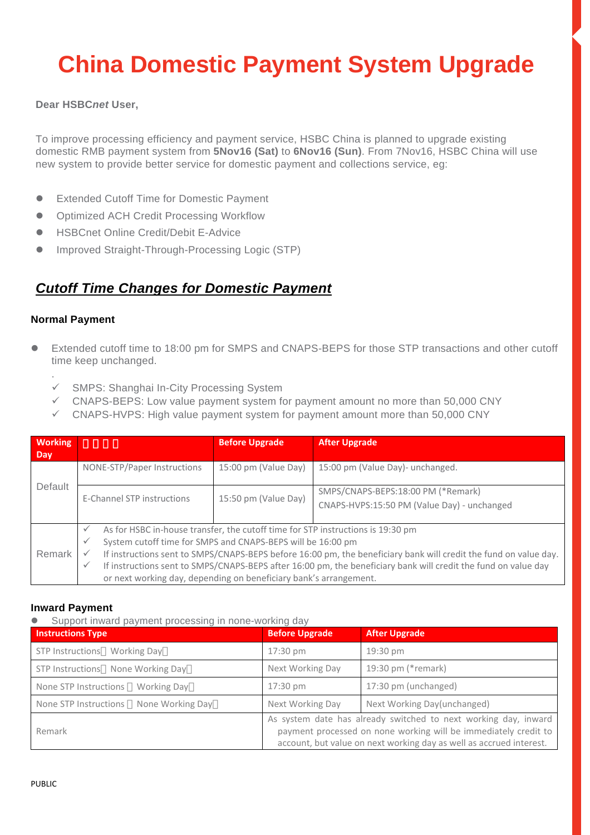# **China Domestic Payment System Upgrade**

#### **Dear HSBC***net* **User,**

To improve processing efficiency and payment service, HSBC China is planned to upgrade existing domestic RMB payment system from **5Nov16 (Sat)** to **6Nov16 (Sun)**. From 7Nov16, HSBC China will use new system to provide better service for domestic payment and collections service, eg:

- Extended Cutoff Time for Domestic Payment
- Optimized ACH Credit Processing Workflow
- HSBCnet Online Credit/Debit E-Advice
- Improved Straight-Through-Processing Logic (STP)

### *Cutoff Time Changes for Domestic Payment*

#### **Normal Payment**

.

- Extended cutoff time to 18:00 pm for SMPS and CNAPS-BEPS for those STP transactions and other cutoff time keep unchanged.
	- SMPS: Shanghai In-City Processing System
	- CNAPS-BEPS: Low value payment system for payment amount no more than 50,000 CNY
	- CNAPS-HVPS: High value payment system for payment amount more than 50,000 CNY

| <b>Working</b><br><b>Dav</b> |                                                                                                                                                                                                                                                                                                                                                                                                                                                                                                                           | <b>Before Upgrade</b> | <b>After Upgrade</b>                                                              |  |
|------------------------------|---------------------------------------------------------------------------------------------------------------------------------------------------------------------------------------------------------------------------------------------------------------------------------------------------------------------------------------------------------------------------------------------------------------------------------------------------------------------------------------------------------------------------|-----------------------|-----------------------------------------------------------------------------------|--|
| Default                      | NONE-STP/Paper Instructions                                                                                                                                                                                                                                                                                                                                                                                                                                                                                               | 15:00 pm (Value Day)  | 15:00 pm (Value Day)- unchanged.                                                  |  |
|                              | E-Channel STP instructions                                                                                                                                                                                                                                                                                                                                                                                                                                                                                                | 15:50 pm (Value Day)  | SMPS/CNAPS-BEPS:18:00 PM (*Remark)<br>CNAPS-HVPS:15:50 PM (Value Day) - unchanged |  |
| Remark                       | As for HSBC in-house transfer, the cutoff time for STP instructions is 19:30 pm<br>$\checkmark$<br>System cutoff time for SMPS and CNAPS-BEPS will be 16:00 pm<br>$\checkmark$<br>If instructions sent to SMPS/CNAPS-BEPS before 16:00 pm, the beneficiary bank will credit the fund on value day.<br>$\checkmark$<br>If instructions sent to SMPS/CNAPS-BEPS after 16:00 pm, the beneficiary bank will credit the fund on value day<br>$\checkmark$<br>or next working day, depending on beneficiary bank's arrangement. |                       |                                                                                   |  |

#### **Inward Payment**

Support inward payment processing in none-working day

| <b>Instructions Type</b>                    | <b>Before Upgrade</b> | <b>After Upgrade</b>                                                                                                                                                                                      |
|---------------------------------------------|-----------------------|-----------------------------------------------------------------------------------------------------------------------------------------------------------------------------------------------------------|
| STP Instructions<br>Working Day             | 17:30 pm              | 19:30 pm                                                                                                                                                                                                  |
| None Working Day<br>STP Instructions        | Next Working Day      | 19:30 pm (*remark)                                                                                                                                                                                        |
| None STP Instructions<br><b>Working Day</b> | $17:30 \text{ pm}$    | 17:30 pm (unchanged)                                                                                                                                                                                      |
| None Working Day<br>None STP Instructions   | Next Working Day      | Next Working Day(unchanged)                                                                                                                                                                               |
| Remark                                      |                       | As system date has already switched to next working day, inward<br>payment processed on none working will be immediately credit to<br>account, but value on next working day as well as accrued interest. |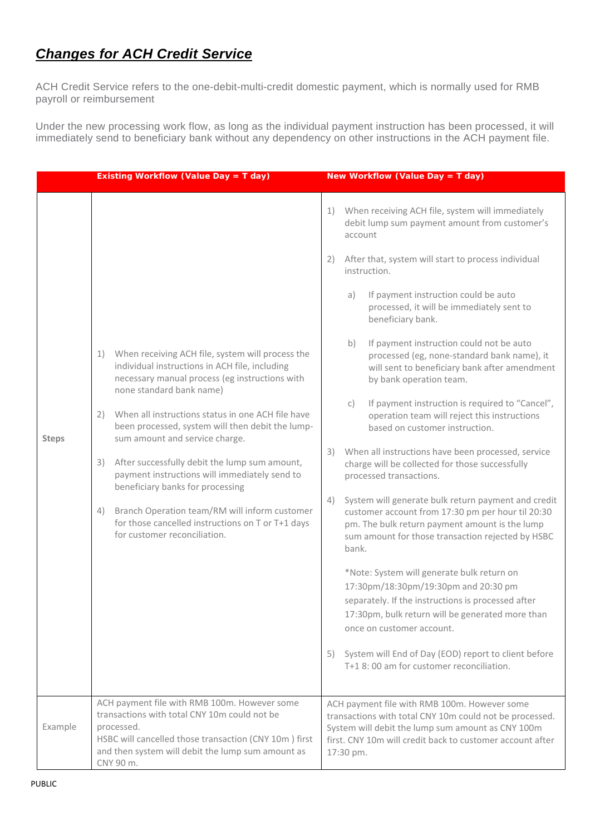### *Changes for ACH Credit Service*

ACH Credit Service refers to the one-debit-multi-credit domestic payment, which is normally used for RMB payroll or reimbursement

Under the new processing work flow, as long as the individual payment instruction has been processed, it will immediately send to beneficiary bank without any dependency on other instructions in the ACH payment file.

|              | <b>Existing Workflow (Value Day = T day)</b>                                                                                                                                                                                                                                                                                                                                                                                                                                        | New Workflow (Value Day = T day)                                                                                                                                                                                                       |
|--------------|-------------------------------------------------------------------------------------------------------------------------------------------------------------------------------------------------------------------------------------------------------------------------------------------------------------------------------------------------------------------------------------------------------------------------------------------------------------------------------------|----------------------------------------------------------------------------------------------------------------------------------------------------------------------------------------------------------------------------------------|
|              |                                                                                                                                                                                                                                                                                                                                                                                                                                                                                     | When receiving ACH file, system will immediately<br>1)<br>debit lump sum payment amount from customer's<br>account                                                                                                                     |
|              |                                                                                                                                                                                                                                                                                                                                                                                                                                                                                     | After that, system will start to process individual<br>2)<br>instruction.                                                                                                                                                              |
|              |                                                                                                                                                                                                                                                                                                                                                                                                                                                                                     | If payment instruction could be auto<br>a)<br>processed, it will be immediately sent to<br>beneficiary bank.                                                                                                                           |
|              | When receiving ACH file, system will process the<br>1)<br>individual instructions in ACH file, including<br>necessary manual process (eg instructions with<br>none standard bank name)<br>When all instructions status in one ACH file have<br>2)<br>been processed, system will then debit the lump-<br>sum amount and service charge.<br>After successfully debit the lump sum amount,<br>3)<br>payment instructions will immediately send to<br>beneficiary banks for processing | If payment instruction could not be auto<br>b)<br>processed (eg, none-standard bank name), it<br>will sent to beneficiary bank after amendment<br>by bank operation team.                                                              |
| <b>Steps</b> |                                                                                                                                                                                                                                                                                                                                                                                                                                                                                     | If payment instruction is required to "Cancel",<br>C)<br>operation team will reject this instructions<br>based on customer instruction.                                                                                                |
|              |                                                                                                                                                                                                                                                                                                                                                                                                                                                                                     | When all instructions have been processed, service<br>3)<br>charge will be collected for those successfully<br>processed transactions.                                                                                                 |
|              | Branch Operation team/RM will inform customer<br>4)<br>for those cancelled instructions on T or T+1 days<br>for customer reconciliation.                                                                                                                                                                                                                                                                                                                                            | System will generate bulk return payment and credit<br>4)<br>customer account from 17:30 pm per hour til 20:30<br>pm. The bulk return payment amount is the lump<br>sum amount for those transaction rejected by HSBC<br>bank.         |
|              |                                                                                                                                                                                                                                                                                                                                                                                                                                                                                     | *Note: System will generate bulk return on<br>17:30pm/18:30pm/19:30pm and 20:30 pm<br>separately. If the instructions is processed after<br>17:30pm, bulk return will be generated more than<br>once on customer account.              |
|              |                                                                                                                                                                                                                                                                                                                                                                                                                                                                                     | System will End of Day (EOD) report to client before<br>5)<br>T+1 8:00 am for customer reconciliation.                                                                                                                                 |
| Example      | ACH payment file with RMB 100m. However some<br>transactions with total CNY 10m could not be<br>processed.<br>HSBC will cancelled those transaction (CNY 10m) first<br>and then system will debit the lump sum amount as<br>CNY 90 m.                                                                                                                                                                                                                                               | ACH payment file with RMB 100m. However some<br>transactions with total CNY 10m could not be processed.<br>System will debit the lump sum amount as CNY 100m<br>first. CNY 10m will credit back to customer account after<br>17:30 pm. |